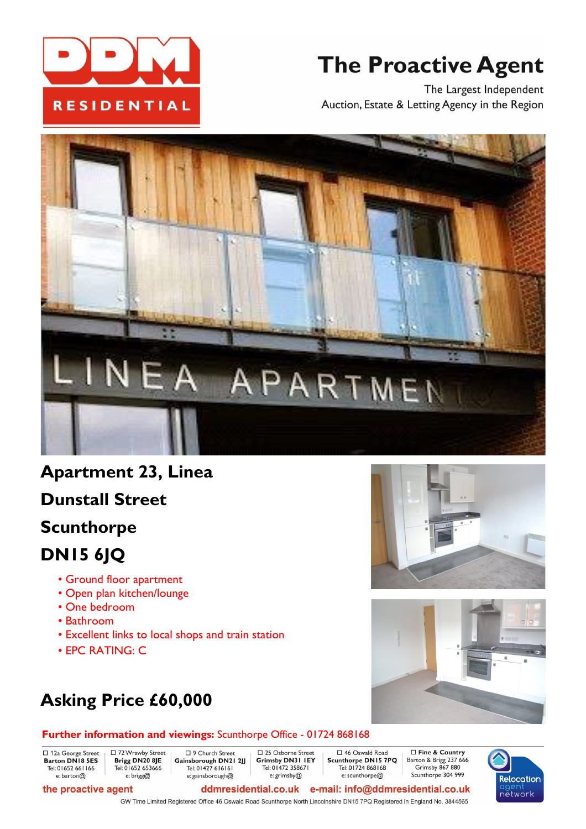

# **The Proactive Agent**

The Largest Independent Auction, Estate & Letting Agency in the Region



# **Apartment 23, Linea**

**Dunstall Street**

# **Scunthorpe**

# **DN15 6JQ**

- Ground floor apartment
- Open plan kitchen/lounge
- One bedroom
- Bathroom
- Excellent links to local shops and train station
- EPC RATING: C

# **Asking Price £60,000**

□ 72 Wrawby Street

# **Further information and viewings:** Scunthorpe Office - 01724 868168

D 9 Church Street

□ 12a George Street<br>Barton DN18 5ES Tel: 01652 661166 e: barton@

Brigg DN20 8JE Tel: 01652 653666

#### e: brigg@ the proactive agent

Gainsborough DN21 2JJ Tel: 01427 616161 Tel: 01472 358671 e: gainsborough@ e: grimsby@

□ 25 Osborne Street □ 46 Oswald Road Grimsby DN31 IEY Scunthorpe DN15 7PQ Tel: 01724 868168 e: scunthorpe@

□ Fine & Country Barton & Brigg 237 666 Grimsby 867 880 Scunthorpe 304 999



ddmresidential.co.uk e-mail: info@ddmresidential.co.uk GW Time Limited Registered Office 46 Oswald Road Scunthorpe North Lincolnshire DN15 7PQ Registered in England No. 3844565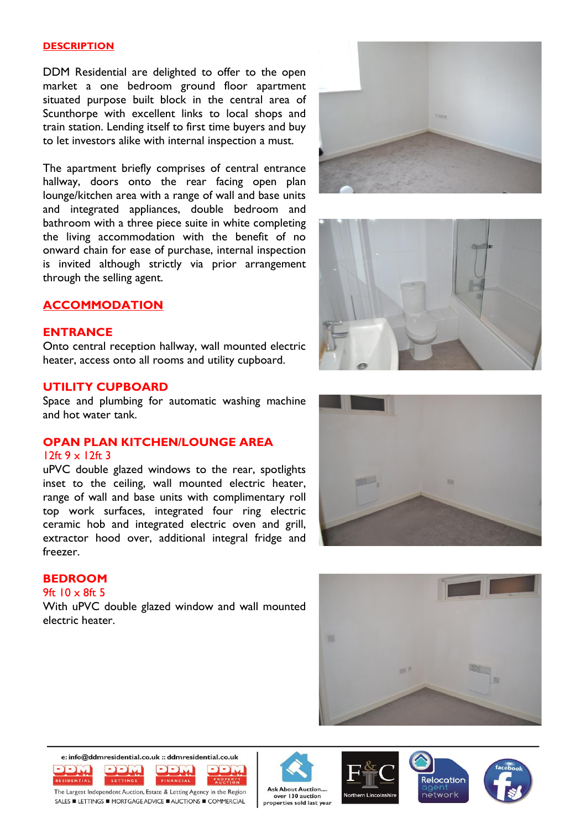#### **DESCRIPTION**

DDM Residential are delighted to offer to the open market <sup>a</sup> one bedroom ground floor apartment situated purpose built block in the central area of Scunthorpe with excellent links to local shops and train station. Lending itself to first time buyers and buy to let investors alike with internal inspection <sup>a</sup> must.

The apartment briefly comprises of central entrance hallway, doors onto the rear facing open plan lounge/kitchen area with <sup>a</sup> range of wall and base units and integrated appliances, double bedroom and bathroom with <sup>a</sup> three piece suite in white completing the living accommodation with the benefit of no onward chain for ease of purchase, internal inspection is invited although strictly via prior arrangemen<sup>t</sup> through the selling agent.

### **ACCOMMODATION**

#### **ENTRANCE**

Onto central reception hallway, wall mounted electric heater, access onto all rooms and utility cupboard.

### **UTILITY CUPBOARD**

Space and plumbing for automatic washing machine and hot water tank.

# **OPAN PLAN KITCHEN/LOUNGE AREA**

#### 12ft 9 <sup>x</sup> 12ft 3

uPVC double glazed windows to the rear, spotlights inset to the ceiling, wall mounted electric heater, range of wall and base units with complimentary roll top work surfaces, integrated four ring electric ceramic hob and integrated electric oven and grill, extractor hood over, additional integral fridge and freezer.

### **BEDROOM**

### 9ft 10 <sup>x</sup> 8ft 5

With uPVC double glazed window and wall mounted electric heater.



















The Largest Independent Auction, Estate & Letting Agency in the Region SALES ELETTINGS EMORTGAGE ADVICE EAUCTIONS ECOMMERCIAL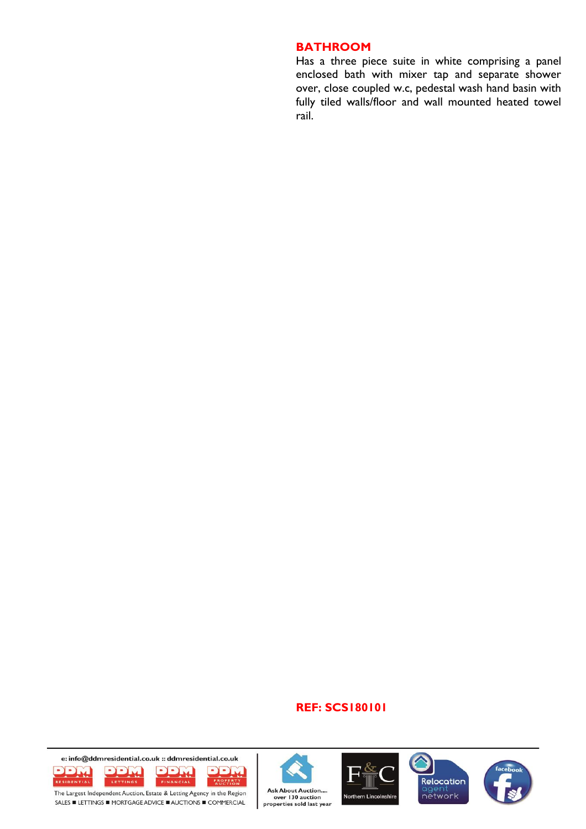#### **BATHROOM**

Has <sup>a</sup> three piece suite in white comprising <sup>a</sup> panel enclosed bath with mixer tap and separate shower over, close coupled w.c, pedestal wash hand basin with fully tiled walls/floor and wall mounted heated towel rail.

#### **REF: SCS180101**











The Largest Independent Auction, Estate & Letting Agency in the Region SALES ■ LETTINGS ■ MORTGAGE ADVICE ■ AUCTIONS ■ COMMERCIAL